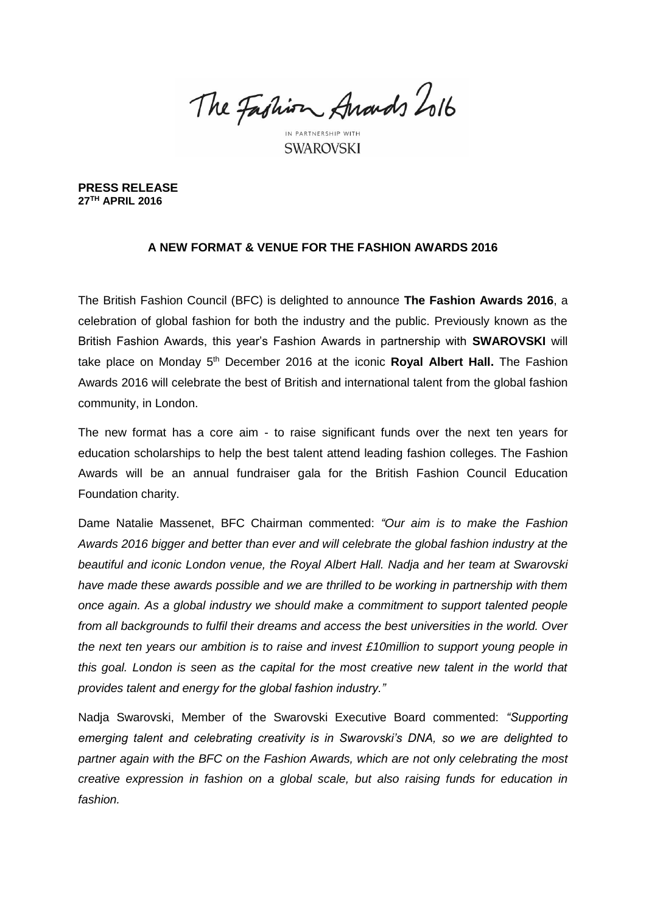The Fashion Anards Lolb

IN PARTNERSHIP WITH **SWAROVSKI** 

**PRESS RELEASE 27TH APRIL 2016** 

# **A NEW FORMAT & VENUE FOR THE FASHION AWARDS 2016**

The British Fashion Council (BFC) is delighted to announce **The Fashion Awards 2016**, a celebration of global fashion for both the industry and the public. Previously known as the British Fashion Awards, this year's Fashion Awards in partnership with **SWAROVSKI** will take place on Monday 5<sup>th</sup> December 2016 at the iconic **Royal Albert Hall.** The Fashion Awards 2016 will celebrate the best of British and international talent from the global fashion community, in London.

The new format has a core aim - to raise significant funds over the next ten years for education scholarships to help the best talent attend leading fashion colleges. The Fashion Awards will be an annual fundraiser gala for the British Fashion Council Education Foundation charity.

Dame Natalie Massenet, BFC Chairman commented: *"Our aim is to make the Fashion Awards 2016 bigger and better than ever and will celebrate the global fashion industry at the beautiful and iconic London venue, the Royal Albert Hall. Nadja and her team at Swarovski have made these awards possible and we are thrilled to be working in partnership with them once again. As a global industry we should make a commitment to support talented people from all backgrounds to fulfil their dreams and access the best universities in the world. Over the next ten years our ambition is to raise and invest £10million to support young people in this goal. London is seen as the capital for the most creative new talent in the world that provides talent and energy for the global fashion industry."*

Nadja Swarovski, Member of the Swarovski Executive Board commented: *"Supporting emerging talent and celebrating creativity is in Swarovski's DNA, so we are delighted to partner again with the BFC on the Fashion Awards, which are not only celebrating the most creative expression in fashion on a global scale, but also raising funds for education in fashion.*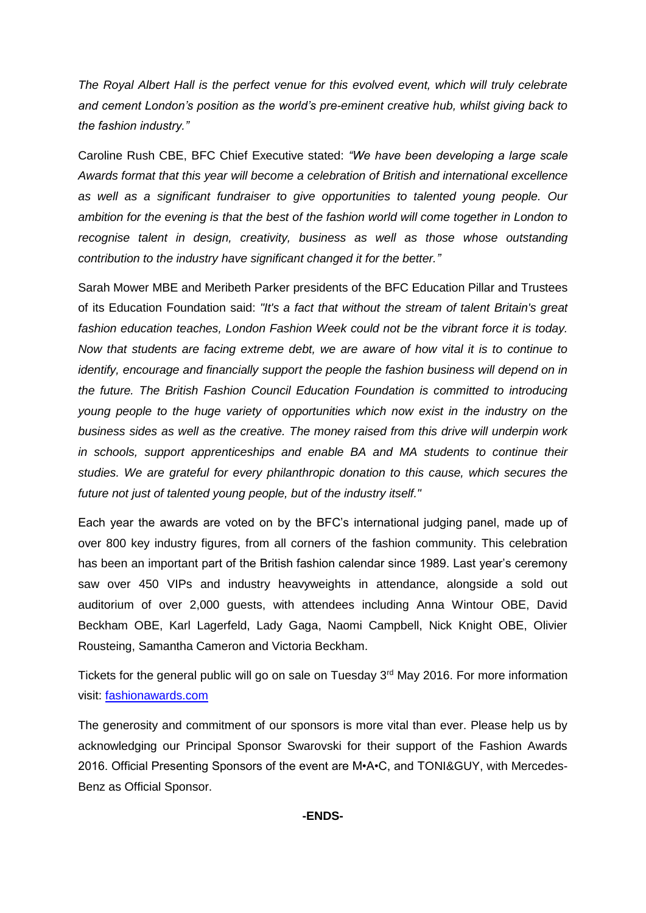*The Royal Albert Hall is the perfect venue for this evolved event, which will truly celebrate and cement London's position as the world's pre-eminent creative hub, whilst giving back to the fashion industry."*

Caroline Rush CBE, BFC Chief Executive stated: *"We have been developing a large scale Awards format that this year will become a celebration of British and international excellence as well as a significant fundraiser to give opportunities to talented young people. Our ambition for the evening is that the best of the fashion world will come together in London to recognise talent in design, creativity, business as well as those whose outstanding contribution to the industry have significant changed it for the better."*

Sarah Mower MBE and Meribeth Parker presidents of the BFC Education Pillar and Trustees of its Education Foundation said: *"It's a fact that without the stream of talent Britain's great fashion education teaches, London Fashion Week could not be the vibrant force it is today. Now that students are facing extreme debt, we are aware of how vital it is to continue to identify, encourage and financially support the people the fashion business will depend on in the future. The British Fashion Council Education Foundation is committed to introducing young people to the huge variety of opportunities which now exist in the industry on the business sides as well as the creative. The money raised from this drive will underpin work in schools, support apprenticeships and enable BA and MA students to continue their studies. We are grateful for every philanthropic donation to this cause, which secures the future not just of talented young people, but of the industry itself."* 

Each year the awards are voted on by the BFC's international judging panel, made up of over 800 key industry figures, from all corners of the fashion community. This celebration has been an important part of the British fashion calendar since 1989. Last year's ceremony saw over 450 VIPs and industry heavyweights in attendance, alongside a sold out auditorium of over 2,000 guests, with attendees including Anna Wintour OBE, David Beckham OBE, Karl Lagerfeld, Lady Gaga, Naomi Campbell, Nick Knight OBE, Olivier Rousteing, Samantha Cameron and Victoria Beckham.

Tickets for the general public will go on sale on Tuesday 3<sup>rd</sup> May 2016. For more information visit: [fashionawards.com](http://www.fashionawards.com/)

The generosity and commitment of our sponsors is more vital than ever. Please help us by acknowledging our Principal Sponsor Swarovski for their support of the Fashion Awards 2016. Official Presenting Sponsors of the event are M•A•C, and TONI&GUY, with Mercedes-Benz as Official Sponsor.

# **-ENDS-**